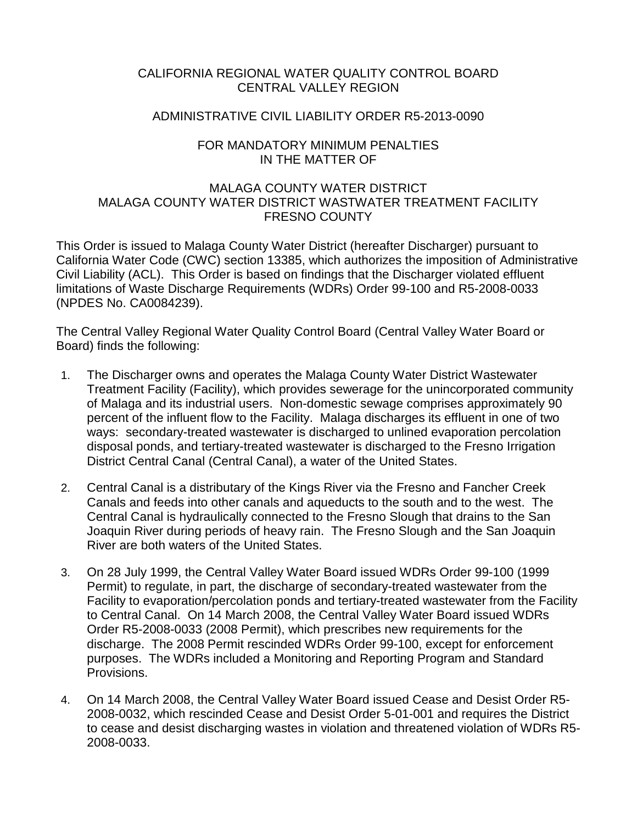## CALIFORNIA REGIONAL WATER QUALITY CONTROL BOARD CENTRAL VALLEY REGION

#### ADMINISTRATIVE CIVIL LIABILITY ORDER R5-2013-0090

#### FOR MANDATORY MINIMUM PENALTIES IN THE MATTER OF

#### MALAGA COUNTY WATER DISTRICT MALAGA COUNTY WATER DISTRICT WASTWATER TREATMENT FACILITY FRESNO COUNTY

This Order is issued to Malaga County Water District (hereafter Discharger) pursuant to California Water Code (CWC) section 13385, which authorizes the imposition of Administrative Civil Liability (ACL). This Order is based on findings that the Discharger violated effluent limitations of Waste Discharge Requirements (WDRs) Order 99-100 and R5-2008-0033 (NPDES No. CA0084239).

The Central Valley Regional Water Quality Control Board (Central Valley Water Board or Board) finds the following:

- 1. The Discharger owns and operates the Malaga County Water District Wastewater Treatment Facility (Facility), which provides sewerage for the unincorporated community of Malaga and its industrial users. Non-domestic sewage comprises approximately 90 percent of the influent flow to the Facility. Malaga discharges its effluent in one of two ways: secondary-treated wastewater is discharged to unlined evaporation percolation disposal ponds, and tertiary-treated wastewater is discharged to the Fresno Irrigation District Central Canal (Central Canal), a water of the United States.
- 2. Central Canal is a distributary of the Kings River via the Fresno and Fancher Creek Canals and feeds into other canals and aqueducts to the south and to the west. The Central Canal is hydraulically connected to the Fresno Slough that drains to the San Joaquin River during periods of heavy rain. The Fresno Slough and the San Joaquin River are both waters of the United States.
- 3. On 28 July 1999, the Central Valley Water Board issued WDRs Order 99-100 (1999 Permit) to regulate, in part, the discharge of secondary-treated wastewater from the Facility to evaporation/percolation ponds and tertiary-treated wastewater from the Facility to Central Canal. On 14 March 2008, the Central Valley Water Board issued WDRs Order R5-2008-0033 (2008 Permit), which prescribes new requirements for the discharge. The 2008 Permit rescinded WDRs Order 99-100, except for enforcement purposes. The WDRs included a Monitoring and Reporting Program and Standard Provisions.
- 4. On 14 March 2008, the Central Valley Water Board issued Cease and Desist Order R5- 2008-0032, which rescinded Cease and Desist Order 5-01-001 and requires the District to cease and desist discharging wastes in violation and threatened violation of WDRs R5- 2008-0033.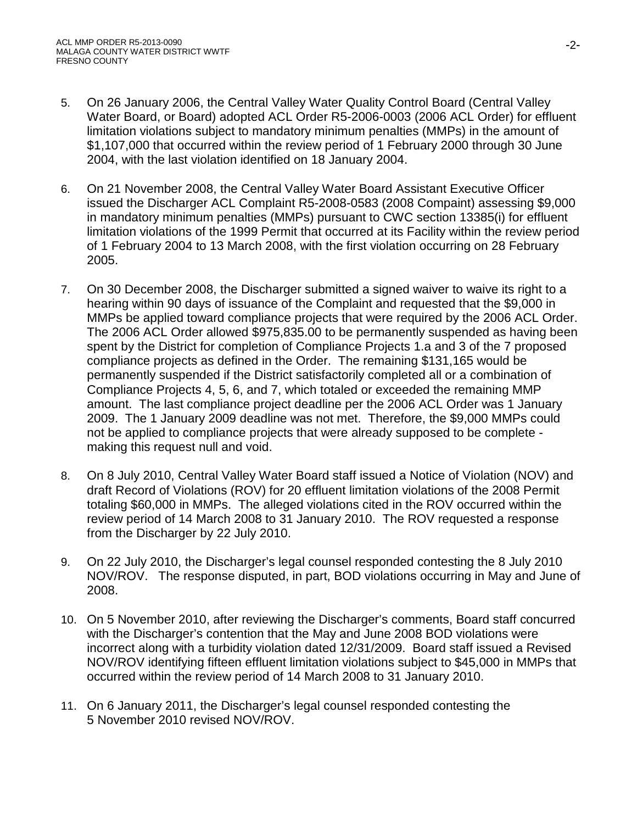- 5. On 26 January 2006, the Central Valley Water Quality Control Board (Central Valley Water Board, or Board) adopted ACL Order R5-2006-0003 (2006 ACL Order) for effluent limitation violations subject to mandatory minimum penalties (MMPs) in the amount of \$1,107,000 that occurred within the review period of 1 February 2000 through 30 June 2004, with the last violation identified on 18 January 2004.
- 6. On 21 November 2008, the Central Valley Water Board Assistant Executive Officer issued the Discharger ACL Complaint R5-2008-0583 (2008 Compaint) assessing \$9,000 in mandatory minimum penalties (MMPs) pursuant to CWC section 13385(i) for effluent limitation violations of the 1999 Permit that occurred at its Facility within the review period of 1 February 2004 to 13 March 2008, with the first violation occurring on 28 February 2005.
- 7. On 30 December 2008, the Discharger submitted a signed waiver to waive its right to a hearing within 90 days of issuance of the Complaint and requested that the \$9,000 in MMPs be applied toward compliance projects that were required by the 2006 ACL Order. The 2006 ACL Order allowed \$975,835.00 to be permanently suspended as having been spent by the District for completion of Compliance Projects 1.a and 3 of the 7 proposed compliance projects as defined in the Order. The remaining \$131,165 would be permanently suspended if the District satisfactorily completed all or a combination of Compliance Projects 4, 5, 6, and 7, which totaled or exceeded the remaining MMP amount. The last compliance project deadline per the 2006 ACL Order was 1 January 2009. The 1 January 2009 deadline was not met. Therefore, the \$9,000 MMPs could not be applied to compliance projects that were already supposed to be complete making this request null and void.
- 8. On 8 July 2010, Central Valley Water Board staff issued a Notice of Violation (NOV) and draft Record of Violations (ROV) for 20 effluent limitation violations of the 2008 Permit totaling \$60,000 in MMPs. The alleged violations cited in the ROV occurred within the review period of 14 March 2008 to 31 January 2010. The ROV requested a response from the Discharger by 22 July 2010.
- 9. On 22 July 2010, the Discharger's legal counsel responded contesting the 8 July 2010 NOV/ROV. The response disputed, in part, BOD violations occurring in May and June of 2008.
- 10. On 5 November 2010, after reviewing the Discharger's comments, Board staff concurred with the Discharger's contention that the May and June 2008 BOD violations were incorrect along with a turbidity violation dated 12/31/2009. Board staff issued a Revised NOV/ROV identifying fifteen effluent limitation violations subject to \$45,000 in MMPs that occurred within the review period of 14 March 2008 to 31 January 2010.
- 11. On 6 January 2011, the Discharger's legal counsel responded contesting the 5 November 2010 revised NOV/ROV.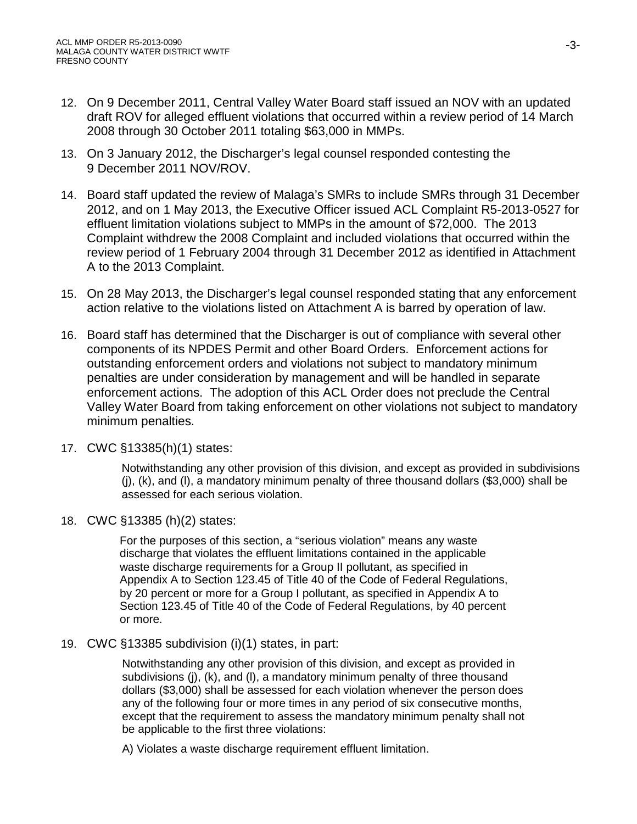- 12. On 9 December 2011, Central Valley Water Board staff issued an NOV with an updated draft ROV for alleged effluent violations that occurred within a review period of 14 March 2008 through 30 October 2011 totaling \$63,000 in MMPs.
- 13. On 3 January 2012, the Discharger's legal counsel responded contesting the 9 December 2011 NOV/ROV.
- 14. Board staff updated the review of Malaga's SMRs to include SMRs through 31 December 2012, and on 1 May 2013, the Executive Officer issued ACL Complaint R5-2013-0527 for effluent limitation violations subject to MMPs in the amount of \$72,000. The 2013 Complaint withdrew the 2008 Complaint and included violations that occurred within the review period of 1 February 2004 through 31 December 2012 as identified in Attachment A to the 2013 Complaint.
- 15. On 28 May 2013, the Discharger's legal counsel responded stating that any enforcement action relative to the violations listed on Attachment A is barred by operation of law.
- 16. Board staff has determined that the Discharger is out of compliance with several other components of its NPDES Permit and other Board Orders. Enforcement actions for outstanding enforcement orders and violations not subject to mandatory minimum penalties are under consideration by management and will be handled in separate enforcement actions. The adoption of this ACL Order does not preclude the Central Valley Water Board from taking enforcement on other violations not subject to mandatory minimum penalties.
- 17. CWC §13385(h)(1) states:

Notwithstanding any other provision of this division, and except as provided in subdivisions  $(i)$ ,  $(k)$ , and  $(l)$ , a mandatory minimum penalty of three thousand dollars (\$3,000) shall be assessed for each serious violation.

18. CWC §13385 (h)(2) states:

For the purposes of this section, a "serious violation" means any waste discharge that violates the effluent limitations contained in the applicable waste discharge requirements for a Group II pollutant, as specified in Appendix A to Section 123.45 of Title 40 of the Code of Federal Regulations, by 20 percent or more for a Group I pollutant, as specified in Appendix A to Section 123.45 of Title 40 of the Code of Federal Regulations, by 40 percent or more.

19. CWC §13385 subdivision (i)(1) states, in part:

Notwithstanding any other provision of this division, and except as provided in subdivisions (j), (k), and (l), a mandatory minimum penalty of three thousand dollars (\$3,000) shall be assessed for each violation whenever the person does any of the following four or more times in any period of six consecutive months, except that the requirement to assess the mandatory minimum penalty shall not be applicable to the first three violations:

A) Violates a waste discharge requirement effluent limitation.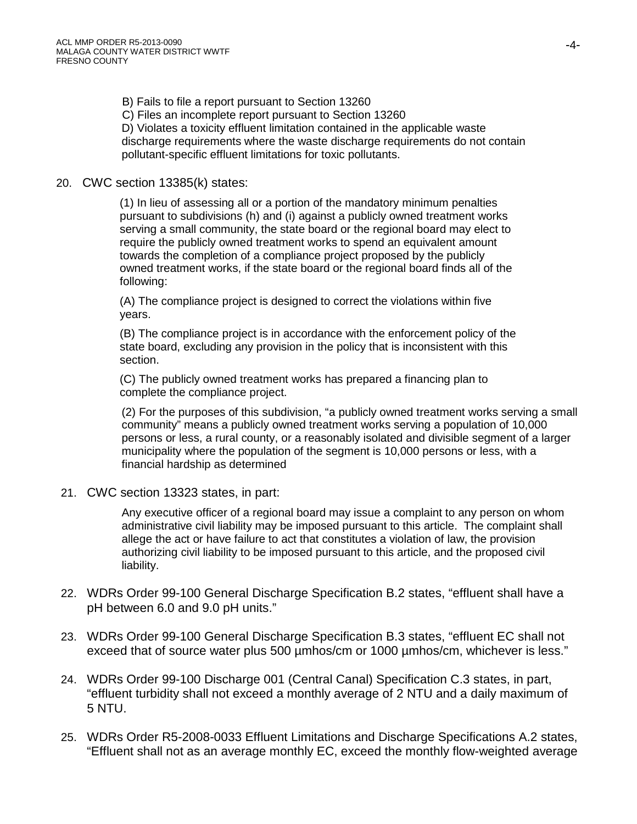B) Fails to file a report pursuant to Section 13260

C) Files an incomplete report pursuant to Section 13260

D) Violates a toxicity effluent limitation contained in the applicable waste discharge requirements where the waste discharge requirements do not contain pollutant-specific effluent limitations for toxic pollutants.

## 20. CWC section 13385(k) states:

(1) In lieu of assessing all or a portion of the mandatory minimum penalties pursuant to subdivisions (h) and (i) against a publicly owned treatment works serving a small community, the state board or the regional board may elect to require the publicly owned treatment works to spend an equivalent amount towards the completion of a compliance project proposed by the publicly owned treatment works, if the state board or the regional board finds all of the following:

(A) The compliance project is designed to correct the violations within five years.

(B) The compliance project is in accordance with the enforcement policy of the state board, excluding any provision in the policy that is inconsistent with this section.

(C) The publicly owned treatment works has prepared a financing plan to complete the compliance project.

(2) For the purposes of this subdivision, "a publicly owned treatment works serving a small community" means a publicly owned treatment works serving a population of 10,000 persons or less, a rural county, or a reasonably isolated and divisible segment of a larger municipality where the population of the segment is 10,000 persons or less, with a financial hardship as determined

21. CWC section 13323 states, in part:

Any executive officer of a regional board may issue a complaint to any person on whom administrative civil liability may be imposed pursuant to this article. The complaint shall allege the act or have failure to act that constitutes a violation of law, the provision authorizing civil liability to be imposed pursuant to this article, and the proposed civil liability.

- 22. WDRs Order 99-100 General Discharge Specification B.2 states, "effluent shall have a pH between 6.0 and 9.0 pH units."
- 23. WDRs Order 99-100 General Discharge Specification B.3 states, "effluent EC shall not exceed that of source water plus 500 µmhos/cm or 1000 µmhos/cm, whichever is less."
- 24. WDRs Order 99-100 Discharge 001 (Central Canal) Specification C.3 states, in part, "effluent turbidity shall not exceed a monthly average of 2 NTU and a daily maximum of 5 NTU.
- 25. WDRs Order R5-2008-0033 Effluent Limitations and Discharge Specifications A.2 states, "Effluent shall not as an average monthly EC, exceed the monthly flow-weighted average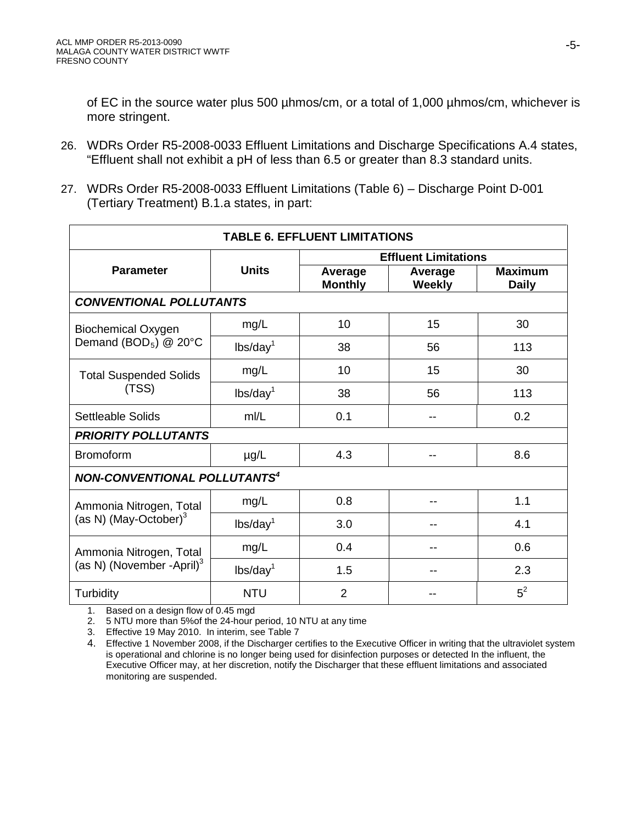of EC in the source water plus 500 µhmos/cm, or a total of 1,000 µhmos/cm, whichever is more stringent.

- 26. WDRs Order R5-2008-0033 Effluent Limitations and Discharge Specifications A.4 states, "Effluent shall not exhibit a pH of less than 6.5 or greater than 8.3 standard units.
- 27. WDRs Order R5-2008-0033 Effluent Limitations (Table 6) Discharge Point D-001 (Tertiary Treatment) B.1.a states, in part:

| <b>TABLE 6. EFFLUENT LIMITATIONS</b>                             |                      |                             |                          |                                |  |
|------------------------------------------------------------------|----------------------|-----------------------------|--------------------------|--------------------------------|--|
|                                                                  |                      | <b>Effluent Limitations</b> |                          |                                |  |
| <b>Parameter</b>                                                 | <b>Units</b>         | Average<br><b>Monthly</b>   | Average<br><b>Weekly</b> | <b>Maximum</b><br><b>Daily</b> |  |
| <b>CONVENTIONAL POLLUTANTS</b>                                   |                      |                             |                          |                                |  |
| <b>Biochemical Oxygen</b><br>Demand (BOD <sub>5</sub> ) @ 20°C   | mg/L                 | 10                          | 15                       | 30                             |  |
|                                                                  | lbs/day <sup>1</sup> | 38                          | 56                       | 113                            |  |
| <b>Total Suspended Solids</b><br>(TSS)                           | mg/L                 | 10                          | 15                       | 30                             |  |
|                                                                  | lbs/day <sup>1</sup> | 38                          | 56                       | 113                            |  |
| <b>Settleable Solids</b>                                         | mI/L                 | 0.1                         | --                       | 0.2                            |  |
| <b>PRIORITY POLLUTANTS</b>                                       |                      |                             |                          |                                |  |
| <b>Bromoform</b>                                                 | $\mu$ g/L            | 4.3                         |                          | 8.6                            |  |
| <b>NON-CONVENTIONAL POLLUTANTS<sup>4</sup></b>                   |                      |                             |                          |                                |  |
| Ammonia Nitrogen, Total<br>(as N) (May-October) $3$              | mg/L                 | 0.8                         |                          | 1.1                            |  |
|                                                                  | lbs/day <sup>1</sup> | 3.0                         |                          | 4.1                            |  |
| Ammonia Nitrogen, Total<br>(as N) (November -April) <sup>3</sup> | mg/L                 | 0.4                         |                          | 0.6                            |  |
|                                                                  | lbs/day <sup>1</sup> | 1.5                         |                          | 2.3                            |  |
| Turbidity                                                        | <b>NTU</b>           | $\overline{2}$              |                          | $5^2$                          |  |

1. Based on a design flow of 0.45 mgd

2. 5 NTU more than 5%of the 24-hour period, 10 NTU at any time

3. Effective 19 May 2010. In interim, see Table 7

<sup>4.</sup> Effective 1 November 2008, if the Discharger certifies to the Executive Officer in writing that the ultraviolet system is operational and chlorine is no longer being used for disinfection purposes or detected In the influent, the Executive Officer may, at her discretion, notify the Discharger that these effluent limitations and associated monitoring are suspended.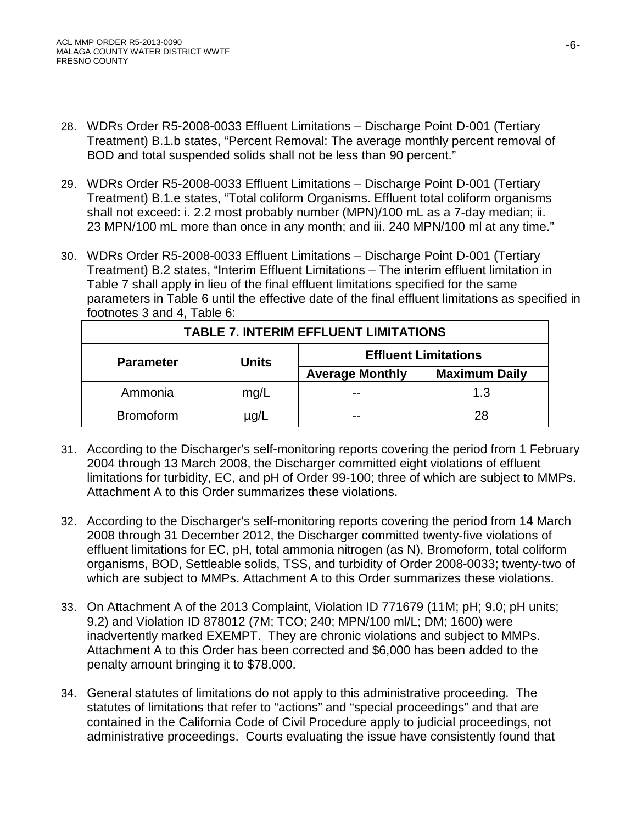- 28. WDRs Order R5-2008-0033 Effluent Limitations Discharge Point D-001 (Tertiary Treatment) B.1.b states, "Percent Removal: The average monthly percent removal of BOD and total suspended solids shall not be less than 90 percent."
- 29. WDRs Order R5-2008-0033 Effluent Limitations Discharge Point D-001 (Tertiary Treatment) B.1.e states, "Total coliform Organisms. Effluent total coliform organisms shall not exceed: i. 2.2 most probably number (MPN)/100 mL as a 7-day median; ii. 23 MPN/100 mL more than once in any month; and iii. 240 MPN/100 ml at any time."
- 30. WDRs Order R5-2008-0033 Effluent Limitations Discharge Point D-001 (Tertiary Treatment) B.2 states, "Interim Effluent Limitations – The interim effluent limitation in Table 7 shall apply in lieu of the final effluent limitations specified for the same parameters in Table 6 until the effective date of the final effluent limitations as specified in footnotes 3 and 4, Table 6:

| <b>TABLE 7. INTERIM EFFLUENT LIMITATIONS</b> |              |                             |                      |  |
|----------------------------------------------|--------------|-----------------------------|----------------------|--|
| <b>Parameter</b>                             | <b>Units</b> | <b>Effluent Limitations</b> |                      |  |
|                                              |              | <b>Average Monthly</b>      | <b>Maximum Daily</b> |  |
| Ammonia                                      | mg/L         |                             | 1.3                  |  |
| <b>Bromoform</b>                             | µg/L         |                             | 28                   |  |

- 31. According to the Discharger's self-monitoring reports covering the period from 1 February 2004 through 13 March 2008, the Discharger committed eight violations of effluent limitations for turbidity, EC, and pH of Order 99-100; three of which are subject to MMPs. Attachment A to this Order summarizes these violations.
- 32. According to the Discharger's self-monitoring reports covering the period from 14 March 2008 through 31 December 2012, the Discharger committed twenty-five violations of effluent limitations for EC, pH, total ammonia nitrogen (as N), Bromoform, total coliform organisms, BOD, Settleable solids, TSS, and turbidity of Order 2008-0033; twenty-two of which are subject to MMPs. Attachment A to this Order summarizes these violations.
- 33. On Attachment A of the 2013 Complaint, Violation ID 771679 (11M; pH; 9.0; pH units; 9.2) and Violation ID 878012 (7M; TCO; 240; MPN/100 ml/L; DM; 1600) were inadvertently marked EXEMPT. They are chronic violations and subject to MMPs. Attachment A to this Order has been corrected and \$6,000 has been added to the penalty amount bringing it to \$78,000.
- 34. General statutes of limitations do not apply to this administrative proceeding. The statutes of limitations that refer to "actions" and "special proceedings" and that are contained in the California Code of Civil Procedure apply to judicial proceedings, not administrative proceedings. Courts evaluating the issue have consistently found that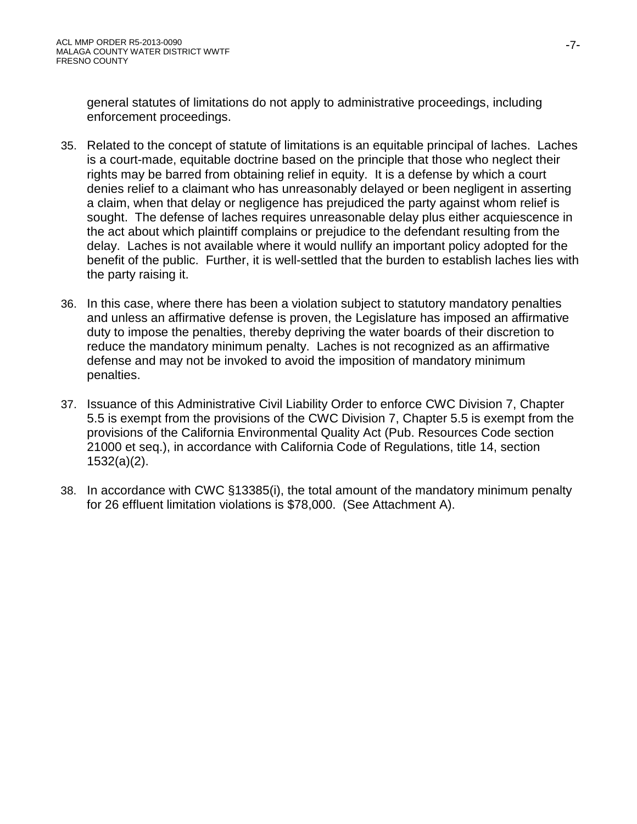general statutes of limitations do not apply to administrative proceedings, including enforcement proceedings.

- 35. Related to the concept of statute of limitations is an equitable principal of laches. Laches is a court-made, equitable doctrine based on the principle that those who neglect their rights may be barred from obtaining relief in equity. It is a defense by which a court denies relief to a claimant who has unreasonably delayed or been negligent in asserting a claim, when that delay or negligence has prejudiced the party against whom relief is sought. The defense of laches requires unreasonable delay plus either acquiescence in the act about which plaintiff complains or prejudice to the defendant resulting from the delay. Laches is not available where it would nullify an important policy adopted for the benefit of the public. Further, it is well-settled that the burden to establish laches lies with the party raising it.
- 36. In this case, where there has been a violation subject to statutory mandatory penalties and unless an affirmative defense is proven, the Legislature has imposed an affirmative duty to impose the penalties, thereby depriving the water boards of their discretion to reduce the mandatory minimum penalty. Laches is not recognized as an affirmative defense and may not be invoked to avoid the imposition of mandatory minimum penalties.
- 37. Issuance of this Administrative Civil Liability Order to enforce CWC Division 7, Chapter 5.5 is exempt from the provisions of the CWC Division 7, Chapter 5.5 is exempt from the provisions of the California Environmental Quality Act (Pub. Resources Code section 21000 et seq.), in accordance with California Code of Regulations, title 14, section 1532(a)(2).
- 38. In accordance with CWC §13385(i), the total amount of the mandatory minimum penalty for 26 effluent limitation violations is \$78,000. (See Attachment A).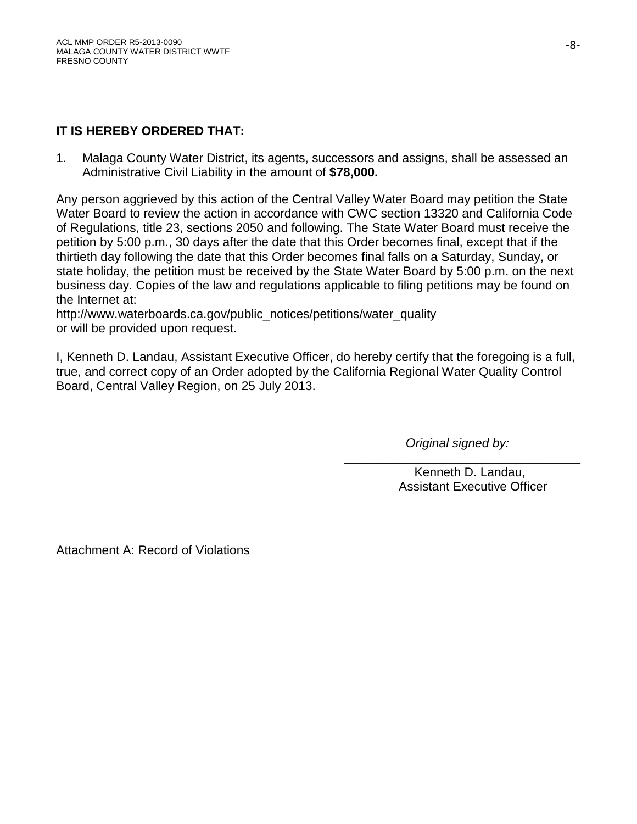# **IT IS HEREBY ORDERED THAT:**

1. Malaga County Water District, its agents, successors and assigns, shall be assessed an Administrative Civil Liability in the amount of **\$78,000.**

Any person aggrieved by this action of the Central Valley Water Board may petition the State Water Board to review the action in accordance with CWC section 13320 and California Code of Regulations, title 23, sections 2050 and following. The State Water Board must receive the petition by 5:00 p.m., 30 days after the date that this Order becomes final, except that if the thirtieth day following the date that this Order becomes final falls on a Saturday, Sunday, or state holiday, the petition must be received by the State Water Board by 5:00 p.m. on the next business day. Copies of the law and regulations applicable to filing petitions may be found on the Internet at:

http://www.waterboards.ca.gov/public\_notices/petitions/water\_quality or will be provided upon request.

I, Kenneth D. Landau, Assistant Executive Officer, do hereby certify that the foregoing is a full, true, and correct copy of an Order adopted by the California Regional Water Quality Control Board, Central Valley Region, on 25 July 2013.

*Original signed by:*

\_\_\_\_\_\_\_\_\_\_\_\_\_\_\_\_\_\_\_\_\_\_\_\_\_\_\_\_\_\_\_\_\_\_ Kenneth D. Landau, Assistant Executive Officer

Attachment A: Record of Violations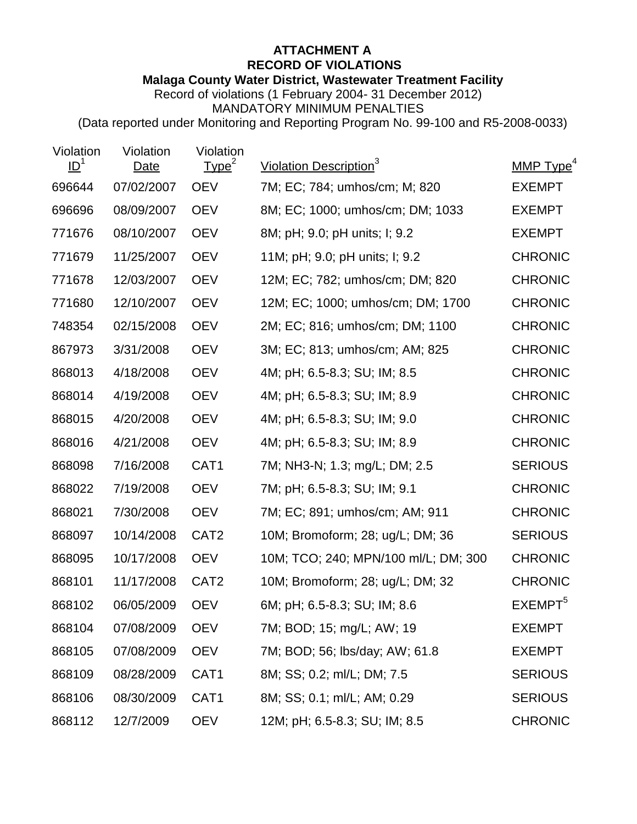# **ATTACHMENT A RECORD OF VIOLATIONS Malaga County Water District, Wastewater Treatment Facility**

Record of violations (1 February 2004- 31 December 2012) MANDATORY MINIMUM PENALTIES

(Data reported under Monitoring and Reporting Program No. 99-100 and R5-2008-0033)

| Violation<br>ID <sup>1</sup> | Violation<br>Date | Violation<br>Type <sup>2</sup> | Violation Description <sup>3</sup>   | MMP Type <sup>4</sup> |
|------------------------------|-------------------|--------------------------------|--------------------------------------|-----------------------|
| 696644                       | 07/02/2007        | <b>OEV</b>                     | 7M; EC; 784; umhos/cm; M; 820        | <b>EXEMPT</b>         |
| 696696                       | 08/09/2007        | <b>OEV</b>                     | 8M; EC; 1000; umhos/cm; DM; 1033     | <b>EXEMPT</b>         |
| 771676                       | 08/10/2007        | <b>OEV</b>                     | 8M; pH; 9.0; pH units; I; 9.2        | <b>EXEMPT</b>         |
| 771679                       | 11/25/2007        | <b>OEV</b>                     | 11M; pH; 9.0; pH units; I; 9.2       | <b>CHRONIC</b>        |
| 771678                       | 12/03/2007        | <b>OEV</b>                     | 12M; EC; 782; umhos/cm; DM; 820      | <b>CHRONIC</b>        |
| 771680                       | 12/10/2007        | <b>OEV</b>                     | 12M; EC; 1000; umhos/cm; DM; 1700    | <b>CHRONIC</b>        |
| 748354                       | 02/15/2008        | <b>OEV</b>                     | 2M; EC; 816; umhos/cm; DM; 1100      | <b>CHRONIC</b>        |
| 867973                       | 3/31/2008         | <b>OEV</b>                     | 3M; EC; 813; umhos/cm; AM; 825       | <b>CHRONIC</b>        |
| 868013                       | 4/18/2008         | <b>OEV</b>                     | 4M; pH; 6.5-8.3; SU; IM; 8.5         | <b>CHRONIC</b>        |
| 868014                       | 4/19/2008         | <b>OEV</b>                     | 4M; pH; 6.5-8.3; SU; IM; 8.9         | <b>CHRONIC</b>        |
| 868015                       | 4/20/2008         | <b>OEV</b>                     | 4M; pH; 6.5-8.3; SU; IM; 9.0         | <b>CHRONIC</b>        |
| 868016                       | 4/21/2008         | <b>OEV</b>                     | 4M; pH; 6.5-8.3; SU; IM; 8.9         | <b>CHRONIC</b>        |
| 868098                       | 7/16/2008         | CAT <sub>1</sub>               | 7M; NH3-N; 1.3; mg/L; DM; 2.5        | <b>SERIOUS</b>        |
| 868022                       | 7/19/2008         | <b>OEV</b>                     | 7M; pH; 6.5-8.3; SU; IM; 9.1         | <b>CHRONIC</b>        |
| 868021                       | 7/30/2008         | <b>OEV</b>                     | 7M; EC; 891; umhos/cm; AM; 911       | <b>CHRONIC</b>        |
| 868097                       | 10/14/2008        | CAT <sub>2</sub>               | 10M; Bromoform; 28; ug/L; DM; 36     | <b>SERIOUS</b>        |
| 868095                       | 10/17/2008        | <b>OEV</b>                     | 10M; TCO; 240; MPN/100 ml/L; DM; 300 | <b>CHRONIC</b>        |
| 868101                       | 11/17/2008        | CAT <sub>2</sub>               | 10M; Bromoform; 28; ug/L; DM; 32     | <b>CHRONIC</b>        |
| 868102                       | 06/05/2009        | <b>OEV</b>                     | 6M; pH; 6.5-8.3; SU; IM; 8.6         | EXEMPT <sup>5</sup>   |
| 868104                       | 07/08/2009        | <b>OEV</b>                     | 7M; BOD; 15; mg/L; AW; 19            | <b>EXEMPT</b>         |
| 868105                       | 07/08/2009        | <b>OEV</b>                     | 7M; BOD; 56; lbs/day; AW; 61.8       | <b>EXEMPT</b>         |
| 868109                       | 08/28/2009        | CAT1                           | 8M; SS; 0.2; ml/L; DM; 7.5           | <b>SERIOUS</b>        |
| 868106                       | 08/30/2009        | CAT1                           | 8M; SS; 0.1; ml/L; AM; 0.29          | <b>SERIOUS</b>        |
| 868112                       | 12/7/2009         | <b>OEV</b>                     | 12M; pH; 6.5-8.3; SU; IM; 8.5        | <b>CHRONIC</b>        |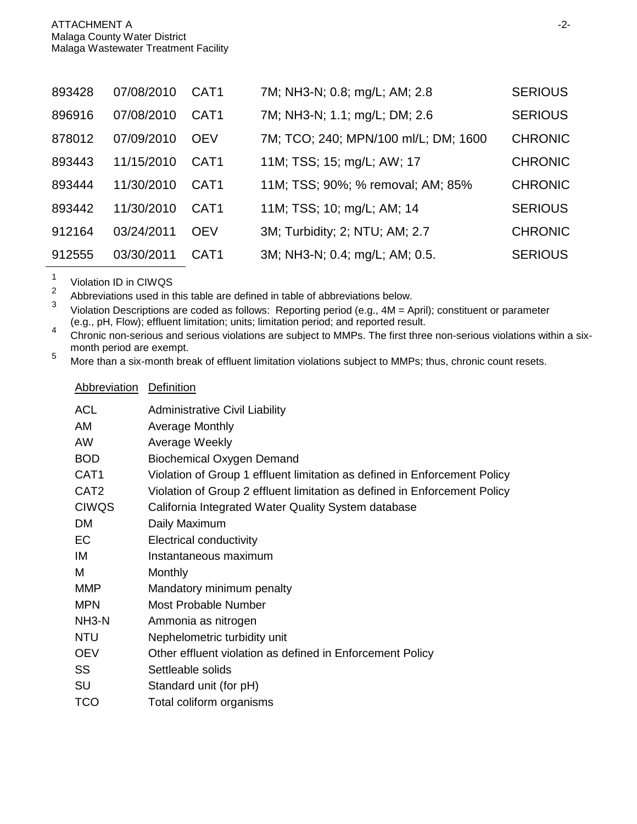| 893428 | 07/08/2010 | CAT <sub>1</sub> | 7M; NH3-N; 0.8; mg/L; AM; 2.8        | <b>SERIOUS</b> |
|--------|------------|------------------|--------------------------------------|----------------|
| 896916 | 07/08/2010 | CAT <sub>1</sub> | 7M; NH3-N; 1.1; mg/L; DM; 2.6        | <b>SERIOUS</b> |
| 878012 | 07/09/2010 | <b>OFV</b>       | 7M; TCO; 240; MPN/100 ml/L; DM; 1600 | <b>CHRONIC</b> |
| 893443 | 11/15/2010 | CAT <sub>1</sub> | 11M; TSS; 15; mg/L; AW; 17           | <b>CHRONIC</b> |
| 893444 | 11/30/2010 | CAT <sub>1</sub> | 11M; TSS; 90%; % removal; AM; 85%    | <b>CHRONIC</b> |
| 893442 | 11/30/2010 | CAT <sub>1</sub> | 11M; TSS; 10; mg/L; AM; 14           | <b>SERIOUS</b> |
| 912164 | 03/24/2011 | <b>OEV</b>       | 3M; Turbidity; 2; NTU; AM; 2.7       | <b>CHRONIC</b> |
| 912555 | 03/30/2011 | CAT <sub>1</sub> | 3M; NH3-N; 0.4; mg/L; AM; 0.5.       | <b>SERIOUS</b> |

 $\frac{1}{2}$  Violation ID in CIWQS

Abbreviation Definition

<sup>2</sup> Abbreviations used in this table are defined in table of abbreviations below.<br><sup>3</sup> Miclotian Descriptions are saded as follows: Penarting paried (e.g. 4M,  $\Delta$ )

Violation Descriptions are coded as follows: Reporting period (e.g., 4M = April); constituent or parameter (e.g., pH, Flow); effluent limitation; units; limitation period; and reported result.

e.g., pH, Flow); effluent limitation; units, limitation period; and reported result.<br>Chronic non-serious and serious violations are subject to MMPs. The first three non-serious violations within a six-<br>month period are exe

5 More than a six-month break of effluent limitation violations subject to MMPs; thus, chronic count resets.

| ACL                | <b>Administrative Civil Liability</b>                                     |
|--------------------|---------------------------------------------------------------------------|
| AM                 | <b>Average Monthly</b>                                                    |
| AW                 | Average Weekly                                                            |
| <b>BOD</b>         | <b>Biochemical Oxygen Demand</b>                                          |
| CAT <sub>1</sub>   | Violation of Group 1 effluent limitation as defined in Enforcement Policy |
| CAT <sub>2</sub>   | Violation of Group 2 effluent limitation as defined in Enforcement Policy |
| <b>CIWQS</b>       | California Integrated Water Quality System database                       |
| <b>DM</b>          | Daily Maximum                                                             |
| EC                 | <b>Electrical conductivity</b>                                            |
| IM                 | Instantaneous maximum                                                     |
| м                  | Monthly                                                                   |
| <b>MMP</b>         | Mandatory minimum penalty                                                 |
| <b>MPN</b>         | <b>Most Probable Number</b>                                               |
| NH <sub>3</sub> -N | Ammonia as nitrogen                                                       |
| <b>NTU</b>         | Nephelometric turbidity unit                                              |
| <b>OEV</b>         | Other effluent violation as defined in Enforcement Policy                 |
| SS                 | Settleable solids                                                         |
| SU                 | Standard unit (for pH)                                                    |
| <b>TCO</b>         | Total coliform organisms                                                  |
|                    |                                                                           |